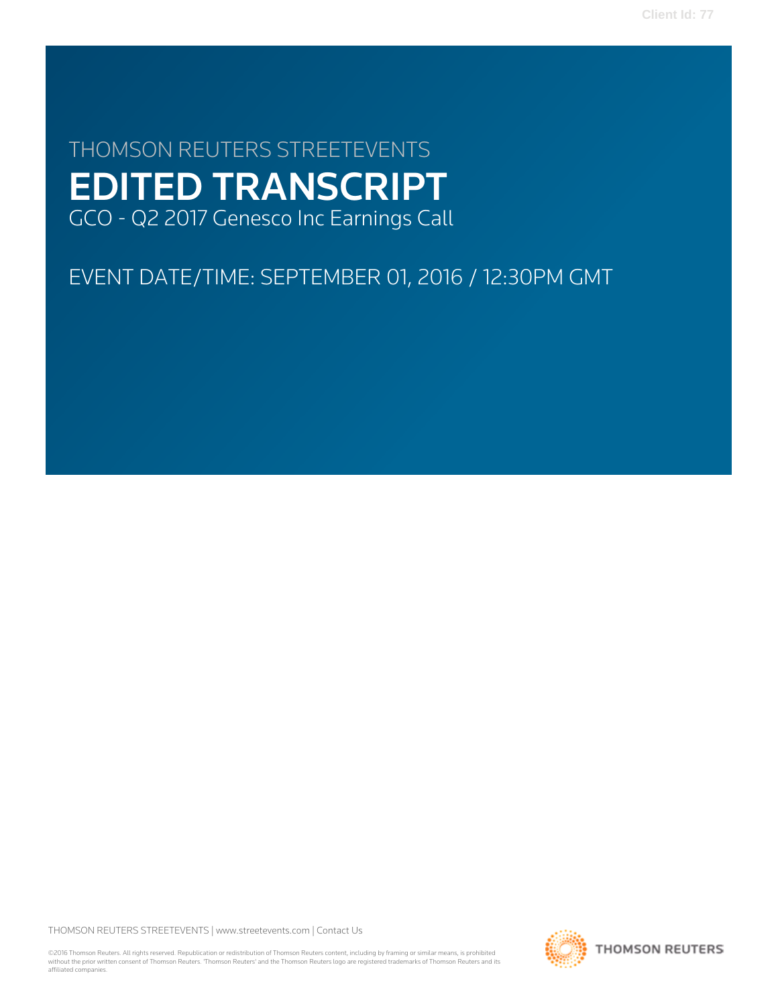# THOMSON REUTERS STREETEVENTS EDITED TRANSCRIPT GCO - Q2 2017 Genesco Inc Earnings Call

## EVENT DATE/TIME: SEPTEMBER 01, 2016 / 12:30PM GMT

THOMSON REUTERS STREETEVENTS | [www.streetevents.com](http://www.streetevents.com) | [Contact Us](http://www010.streetevents.com/contact.asp)

©2016 Thomson Reuters. All rights reserved. Republication or redistribution of Thomson Reuters content, including by framing or similar means, is prohibited without the prior written consent of Thomson Reuters. 'Thomson Reuters' and the Thomson Reuters logo are registered trademarks of Thomson Reuters and its affiliated companies.

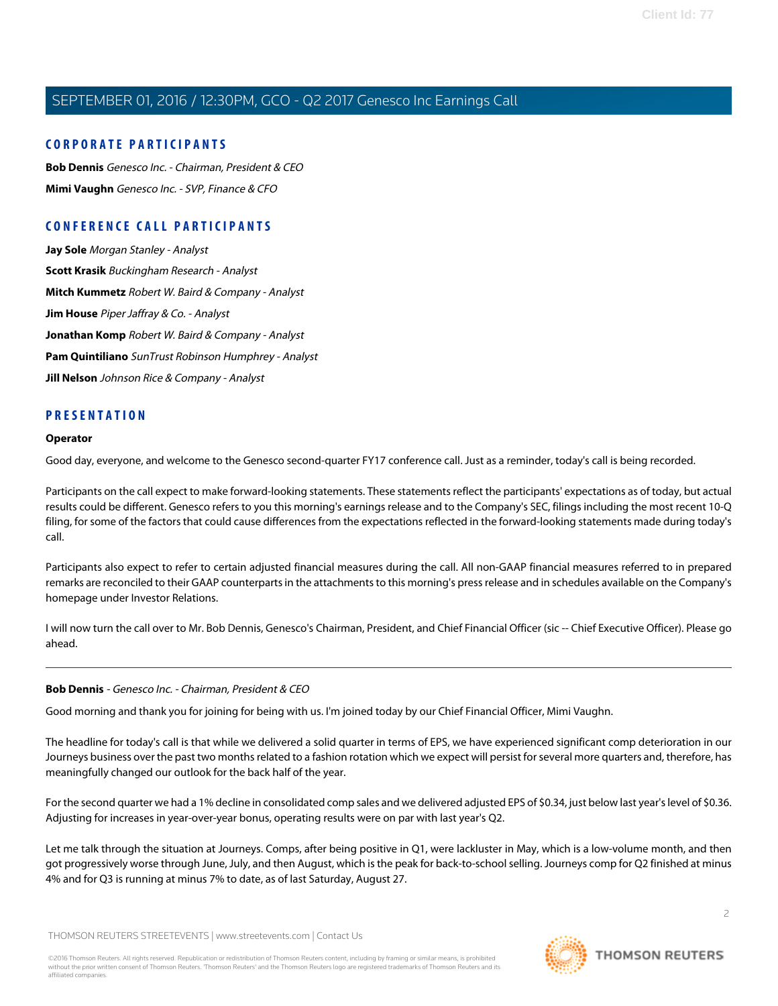#### **CORPORATE PARTICIPANTS**

**[Bob Dennis](#page-1-0)** Genesco Inc. - Chairman, President & CEO **[Mimi Vaughn](#page-3-0)** Genesco Inc. - SVP, Finance & CFO

## **CONFERENCE CALL PARTICIPANTS**

**[Jay Sole](#page-7-0)** Morgan Stanley - Analyst **[Scott Krasik](#page-9-0)** Buckingham Research - Analyst **[Mitch Kummetz](#page-10-0)** Robert W. Baird & Company - Analyst **[Jim House](#page-11-0)** Piper Jaffray & Co. - Analyst **[Jonathan Komp](#page-12-0)** Robert W. Baird & Company - Analyst **[Pam Quintiliano](#page-14-0)** SunTrust Robinson Humphrey - Analyst **[Jill Nelson](#page-15-0)** Johnson Rice & Company - Analyst

#### **PRESENTATION**

#### **Operator**

Good day, everyone, and welcome to the Genesco second-quarter FY17 conference call. Just as a reminder, today's call is being recorded.

Participants on the call expect to make forward-looking statements. These statements reflect the participants' expectations as of today, but actual results could be different. Genesco refers to you this morning's earnings release and to the Company's SEC, filings including the most recent 10-Q filing, for some of the factors that could cause differences from the expectations reflected in the forward-looking statements made during today's call.

Participants also expect to refer to certain adjusted financial measures during the call. All non-GAAP financial measures referred to in prepared remarks are reconciled to their GAAP counterparts in the attachments to this morning's press release and in schedules available on the Company's homepage under Investor Relations.

<span id="page-1-0"></span>I will now turn the call over to Mr. Bob Dennis, Genesco's Chairman, President, and Chief Financial Officer (sic -- Chief Executive Officer). Please go ahead.

#### **Bob Dennis** - Genesco Inc. - Chairman, President & CEO

Good morning and thank you for joining for being with us. I'm joined today by our Chief Financial Officer, Mimi Vaughn.

The headline for today's call is that while we delivered a solid quarter in terms of EPS, we have experienced significant comp deterioration in our Journeys business over the past two months related to a fashion rotation which we expect will persist for several more quarters and, therefore, has meaningfully changed our outlook for the back half of the year.

For the second quarter we had a 1% decline in consolidated comp sales and we delivered adjusted EPS of \$0.34, just below last year's level of \$0.36. Adjusting for increases in year-over-year bonus, operating results were on par with last year's Q2.

Let me talk through the situation at Journeys. Comps, after being positive in Q1, were lackluster in May, which is a low-volume month, and then got progressively worse through June, July, and then August, which is the peak for back-to-school selling. Journeys comp for Q2 finished at minus 4% and for Q3 is running at minus 7% to date, as of last Saturday, August 27.

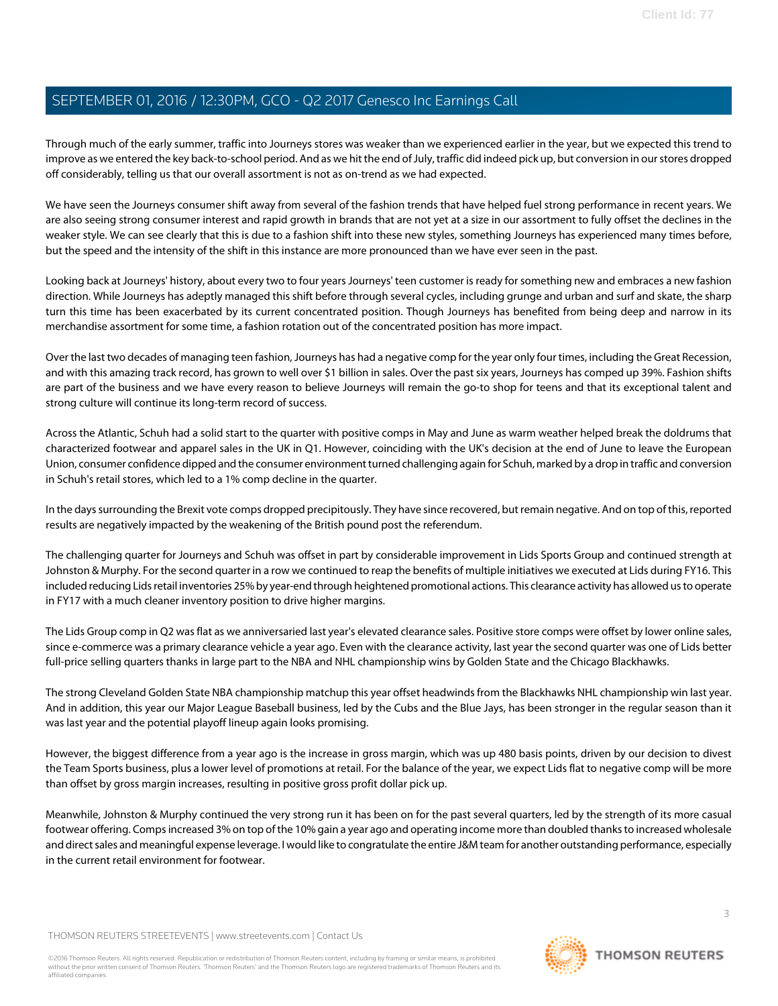Through much of the early summer, traffic into Journeys stores was weaker than we experienced earlier in the year, but we expected this trend to improve as we entered the key back-to-school period. And as we hit the end of July, traffic did indeed pick up, but conversion in our stores dropped off considerably, telling us that our overall assortment is not as on-trend as we had expected.

We have seen the Journeys consumer shift away from several of the fashion trends that have helped fuel strong performance in recent years. We are also seeing strong consumer interest and rapid growth in brands that are not yet at a size in our assortment to fully offset the declines in the weaker style. We can see clearly that this is due to a fashion shift into these new styles, something Journeys has experienced many times before, but the speed and the intensity of the shift in this instance are more pronounced than we have ever seen in the past.

Looking back at Journeys' history, about every two to four years Journeys' teen customer is ready for something new and embraces a new fashion direction. While Journeys has adeptly managed this shift before through several cycles, including grunge and urban and surf and skate, the sharp turn this time has been exacerbated by its current concentrated position. Though Journeys has benefited from being deep and narrow in its merchandise assortment for some time, a fashion rotation out of the concentrated position has more impact.

Over the last two decades of managing teen fashion, Journeys has had a negative comp for the year only four times, including the Great Recession, and with this amazing track record, has grown to well over \$1 billion in sales. Over the past six years, Journeys has comped up 39%. Fashion shifts are part of the business and we have every reason to believe Journeys will remain the go-to shop for teens and that its exceptional talent and strong culture will continue its long-term record of success.

Across the Atlantic, Schuh had a solid start to the quarter with positive comps in May and June as warm weather helped break the doldrums that characterized footwear and apparel sales in the UK in Q1. However, coinciding with the UK's decision at the end of June to leave the European Union, consumer confidence dipped and the consumer environment turned challenging again for Schuh, marked by a drop in traffic and conversion in Schuh's retail stores, which led to a 1% comp decline in the quarter.

In the days surrounding the Brexit vote comps dropped precipitously. They have since recovered, but remain negative. And on top of this, reported results are negatively impacted by the weakening of the British pound post the referendum.

The challenging quarter for Journeys and Schuh was offset in part by considerable improvement in Lids Sports Group and continued strength at Johnston & Murphy. For the second quarter in a row we continued to reap the benefits of multiple initiatives we executed at Lids during FY16. This included reducing Lids retail inventories 25% by year-end through heightened promotional actions. This clearance activity has allowed us to operate in FY17 with a much cleaner inventory position to drive higher margins.

The Lids Group comp in Q2 was flat as we anniversaried last year's elevated clearance sales. Positive store comps were offset by lower online sales, since e-commerce was a primary clearance vehicle a year ago. Even with the clearance activity, last year the second quarter was one of Lids better full-price selling quarters thanks in large part to the NBA and NHL championship wins by Golden State and the Chicago Blackhawks.

The strong Cleveland Golden State NBA championship matchup this year offset headwinds from the Blackhawks NHL championship win last year. And in addition, this year our Major League Baseball business, led by the Cubs and the Blue Jays, has been stronger in the regular season than it was last year and the potential playoff lineup again looks promising.

However, the biggest difference from a year ago is the increase in gross margin, which was up 480 basis points, driven by our decision to divest the Team Sports business, plus a lower level of promotions at retail. For the balance of the year, we expect Lids flat to negative comp will be more than offset by gross margin increases, resulting in positive gross profit dollar pick up.

Meanwhile, Johnston & Murphy continued the very strong run it has been on for the past several quarters, led by the strength of its more casual footwear offering. Comps increased 3% on top of the 10% gain a year ago and operating income more than doubled thanks to increased wholesale and direct sales and meaningful expense leverage. I would like to congratulate the entire J&M team for another outstanding performance, especially in the current retail environment for footwear.

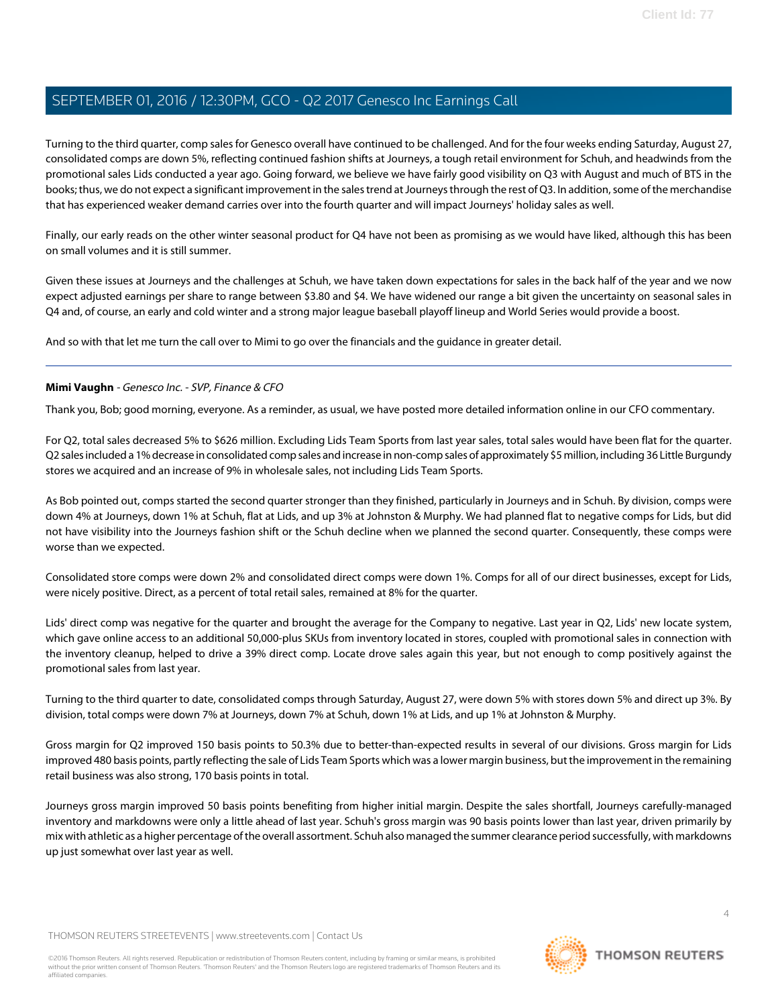Turning to the third quarter, comp sales for Genesco overall have continued to be challenged. And for the four weeks ending Saturday, August 27, consolidated comps are down 5%, reflecting continued fashion shifts at Journeys, a tough retail environment for Schuh, and headwinds from the promotional sales Lids conducted a year ago. Going forward, we believe we have fairly good visibility on Q3 with August and much of BTS in the books; thus, we do not expect a significant improvement in the sales trend at Journeys through the rest of Q3. In addition, some of the merchandise that has experienced weaker demand carries over into the fourth quarter and will impact Journeys' holiday sales as well.

Finally, our early reads on the other winter seasonal product for Q4 have not been as promising as we would have liked, although this has been on small volumes and it is still summer.

Given these issues at Journeys and the challenges at Schuh, we have taken down expectations for sales in the back half of the year and we now expect adjusted earnings per share to range between \$3.80 and \$4. We have widened our range a bit given the uncertainty on seasonal sales in Q4 and, of course, an early and cold winter and a strong major league baseball playoff lineup and World Series would provide a boost.

<span id="page-3-0"></span>And so with that let me turn the call over to Mimi to go over the financials and the guidance in greater detail.

#### **Mimi Vaughn** - Genesco Inc. - SVP, Finance & CFO

Thank you, Bob; good morning, everyone. As a reminder, as usual, we have posted more detailed information online in our CFO commentary.

For Q2, total sales decreased 5% to \$626 million. Excluding Lids Team Sports from last year sales, total sales would have been flat for the quarter. Q2 sales included a 1% decrease in consolidated comp sales and increase in non-comp sales of approximately \$5 million, including 36 Little Burgundy stores we acquired and an increase of 9% in wholesale sales, not including Lids Team Sports.

As Bob pointed out, comps started the second quarter stronger than they finished, particularly in Journeys and in Schuh. By division, comps were down 4% at Journeys, down 1% at Schuh, flat at Lids, and up 3% at Johnston & Murphy. We had planned flat to negative comps for Lids, but did not have visibility into the Journeys fashion shift or the Schuh decline when we planned the second quarter. Consequently, these comps were worse than we expected.

Consolidated store comps were down 2% and consolidated direct comps were down 1%. Comps for all of our direct businesses, except for Lids, were nicely positive. Direct, as a percent of total retail sales, remained at 8% for the quarter.

Lids' direct comp was negative for the quarter and brought the average for the Company to negative. Last year in Q2, Lids' new locate system, which gave online access to an additional 50,000-plus SKUs from inventory located in stores, coupled with promotional sales in connection with the inventory cleanup, helped to drive a 39% direct comp. Locate drove sales again this year, but not enough to comp positively against the promotional sales from last year.

Turning to the third quarter to date, consolidated comps through Saturday, August 27, were down 5% with stores down 5% and direct up 3%. By division, total comps were down 7% at Journeys, down 7% at Schuh, down 1% at Lids, and up 1% at Johnston & Murphy.

Gross margin for Q2 improved 150 basis points to 50.3% due to better-than-expected results in several of our divisions. Gross margin for Lids improved 480 basis points, partly reflecting the sale of Lids Team Sports which was a lower margin business, but the improvement in the remaining retail business was also strong, 170 basis points in total.

Journeys gross margin improved 50 basis points benefiting from higher initial margin. Despite the sales shortfall, Journeys carefully-managed inventory and markdowns were only a little ahead of last year. Schuh's gross margin was 90 basis points lower than last year, driven primarily by mix with athletic as a higher percentage of the overall assortment. Schuh also managed the summer clearance period successfully, with markdowns up just somewhat over last year as well.

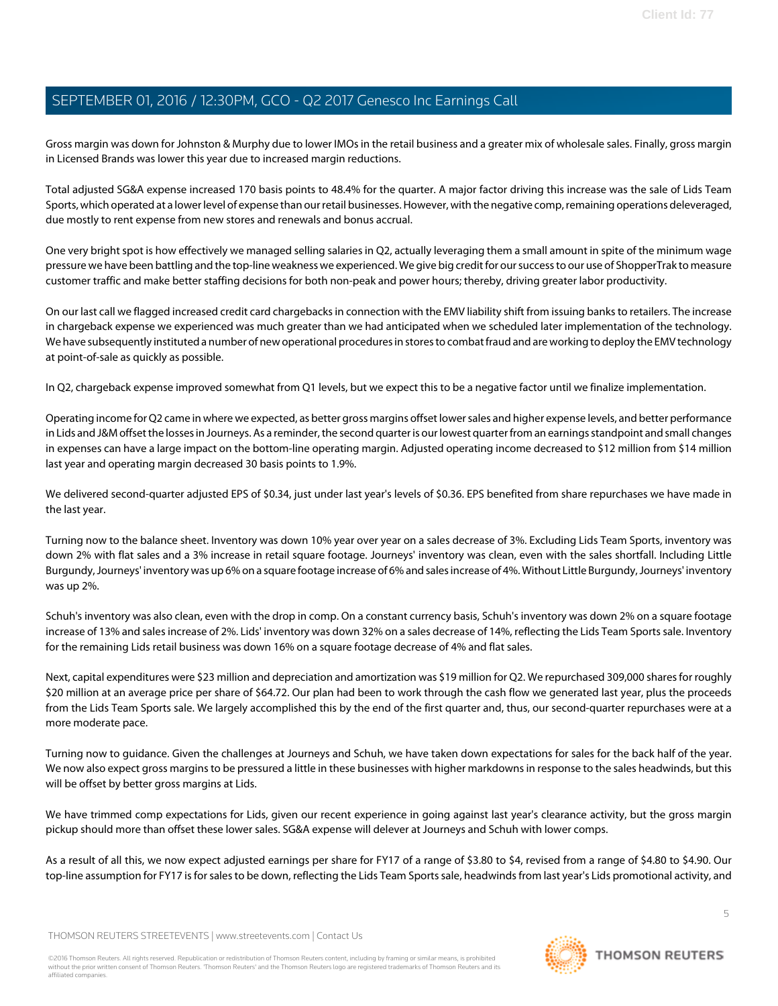Gross margin was down for Johnston & Murphy due to lower IMOs in the retail business and a greater mix of wholesale sales. Finally, gross margin in Licensed Brands was lower this year due to increased margin reductions.

Total adjusted SG&A expense increased 170 basis points to 48.4% for the quarter. A major factor driving this increase was the sale of Lids Team Sports, which operated at a lower level of expense than our retail businesses. However, with the negative comp, remaining operations deleveraged, due mostly to rent expense from new stores and renewals and bonus accrual.

One very bright spot is how effectively we managed selling salaries in Q2, actually leveraging them a small amount in spite of the minimum wage pressure we have been battling and the top-line weakness we experienced. We give big credit for our success to our use of ShopperTrak to measure customer traffic and make better staffing decisions for both non-peak and power hours; thereby, driving greater labor productivity.

On our last call we flagged increased credit card chargebacks in connection with the EMV liability shift from issuing banks to retailers. The increase in chargeback expense we experienced was much greater than we had anticipated when we scheduled later implementation of the technology. We have subsequently instituted a number of new operational procedures in stores to combat fraud and are working to deploy the EMV technology at point-of-sale as quickly as possible.

In Q2, chargeback expense improved somewhat from Q1 levels, but we expect this to be a negative factor until we finalize implementation.

Operating income for Q2 came in where we expected, as better gross margins offset lower sales and higher expense levels, and better performance in Lids and J&M offset the losses in Journeys. As a reminder, the second quarter is our lowest quarter from an earnings standpoint and small changes in expenses can have a large impact on the bottom-line operating margin. Adjusted operating income decreased to \$12 million from \$14 million last year and operating margin decreased 30 basis points to 1.9%.

We delivered second-quarter adjusted EPS of \$0.34, just under last year's levels of \$0.36. EPS benefited from share repurchases we have made in the last year.

Turning now to the balance sheet. Inventory was down 10% year over year on a sales decrease of 3%. Excluding Lids Team Sports, inventory was down 2% with flat sales and a 3% increase in retail square footage. Journeys' inventory was clean, even with the sales shortfall. Including Little Burgundy, Journeys' inventory was up 6% on a square footage increase of 6% and sales increase of 4%. Without Little Burgundy, Journeys' inventory was up 2%.

Schuh's inventory was also clean, even with the drop in comp. On a constant currency basis, Schuh's inventory was down 2% on a square footage increase of 13% and sales increase of 2%. Lids' inventory was down 32% on a sales decrease of 14%, reflecting the Lids Team Sports sale. Inventory for the remaining Lids retail business was down 16% on a square footage decrease of 4% and flat sales.

Next, capital expenditures were \$23 million and depreciation and amortization was \$19 million for Q2. We repurchased 309,000 shares for roughly \$20 million at an average price per share of \$64.72. Our plan had been to work through the cash flow we generated last year, plus the proceeds from the Lids Team Sports sale. We largely accomplished this by the end of the first quarter and, thus, our second-quarter repurchases were at a more moderate pace.

Turning now to guidance. Given the challenges at Journeys and Schuh, we have taken down expectations for sales for the back half of the year. We now also expect gross margins to be pressured a little in these businesses with higher markdowns in response to the sales headwinds, but this will be offset by better gross margins at Lids.

We have trimmed comp expectations for Lids, given our recent experience in going against last year's clearance activity, but the gross margin pickup should more than offset these lower sales. SG&A expense will delever at Journeys and Schuh with lower comps.

As a result of all this, we now expect adjusted earnings per share for FY17 of a range of \$3.80 to \$4, revised from a range of \$4.80 to \$4.90. Our top-line assumption for FY17 is for sales to be down, reflecting the Lids Team Sports sale, headwinds from last year's Lids promotional activity, and

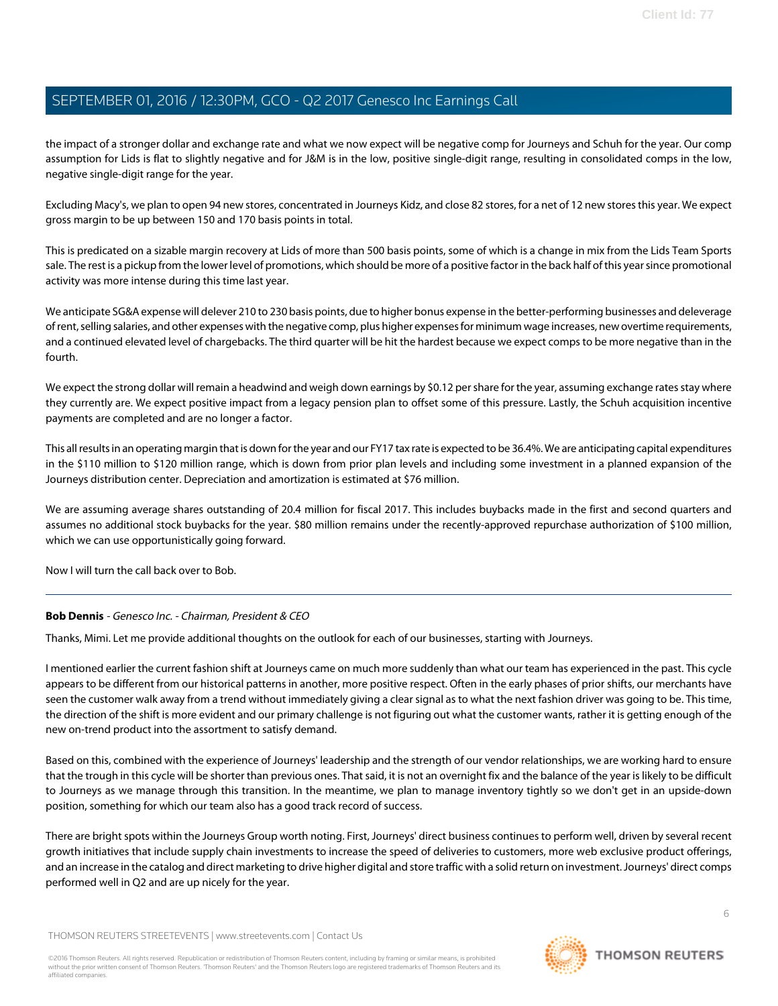the impact of a stronger dollar and exchange rate and what we now expect will be negative comp for Journeys and Schuh for the year. Our comp assumption for Lids is flat to slightly negative and for J&M is in the low, positive single-digit range, resulting in consolidated comps in the low, negative single-digit range for the year.

Excluding Macy's, we plan to open 94 new stores, concentrated in Journeys Kidz, and close 82 stores, for a net of 12 new stores this year. We expect gross margin to be up between 150 and 170 basis points in total.

This is predicated on a sizable margin recovery at Lids of more than 500 basis points, some of which is a change in mix from the Lids Team Sports sale. The rest is a pickup from the lower level of promotions, which should be more of a positive factor in the back half of this year since promotional activity was more intense during this time last year.

We anticipate SG&A expense will delever 210 to 230 basis points, due to higher bonus expense in the better-performing businesses and deleverage of rent, selling salaries, and other expenses with the negative comp, plus higher expenses for minimum wage increases, new overtime requirements, and a continued elevated level of chargebacks. The third quarter will be hit the hardest because we expect comps to be more negative than in the fourth.

We expect the strong dollar will remain a headwind and weigh down earnings by \$0.12 per share for the year, assuming exchange rates stay where they currently are. We expect positive impact from a legacy pension plan to offset some of this pressure. Lastly, the Schuh acquisition incentive payments are completed and are no longer a factor.

This all results in an operating margin that is down for the year and our FY17 tax rate is expected to be 36.4%. We are anticipating capital expenditures in the \$110 million to \$120 million range, which is down from prior plan levels and including some investment in a planned expansion of the Journeys distribution center. Depreciation and amortization is estimated at \$76 million.

We are assuming average shares outstanding of 20.4 million for fiscal 2017. This includes buybacks made in the first and second quarters and assumes no additional stock buybacks for the year. \$80 million remains under the recently-approved repurchase authorization of \$100 million, which we can use opportunistically going forward.

Now I will turn the call back over to Bob.

#### **Bob Dennis** - Genesco Inc. - Chairman, President & CEO

Thanks, Mimi. Let me provide additional thoughts on the outlook for each of our businesses, starting with Journeys.

I mentioned earlier the current fashion shift at Journeys came on much more suddenly than what our team has experienced in the past. This cycle appears to be different from our historical patterns in another, more positive respect. Often in the early phases of prior shifts, our merchants have seen the customer walk away from a trend without immediately giving a clear signal as to what the next fashion driver was going to be. This time, the direction of the shift is more evident and our primary challenge is not figuring out what the customer wants, rather it is getting enough of the new on-trend product into the assortment to satisfy demand.

Based on this, combined with the experience of Journeys' leadership and the strength of our vendor relationships, we are working hard to ensure that the trough in this cycle will be shorter than previous ones. That said, it is not an overnight fix and the balance of the year is likely to be difficult to Journeys as we manage through this transition. In the meantime, we plan to manage inventory tightly so we don't get in an upside-down position, something for which our team also has a good track record of success.

There are bright spots within the Journeys Group worth noting. First, Journeys' direct business continues to perform well, driven by several recent growth initiatives that include supply chain investments to increase the speed of deliveries to customers, more web exclusive product offerings, and an increase in the catalog and direct marketing to drive higher digital and store traffic with a solid return on investment. Journeys' direct comps performed well in Q2 and are up nicely for the year.

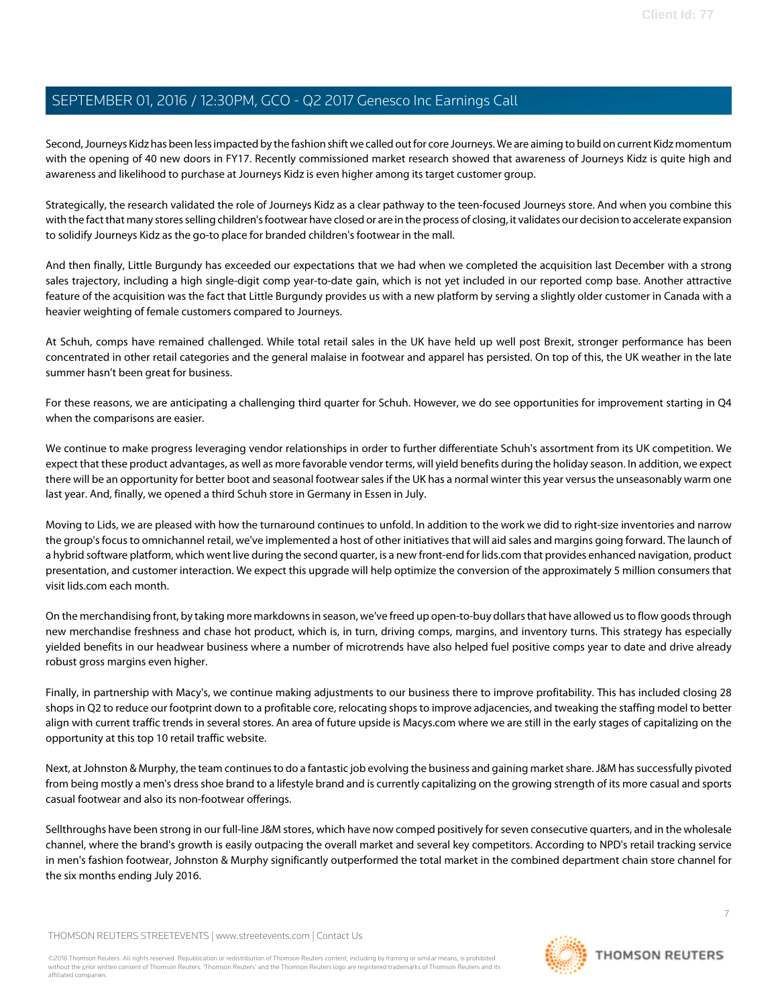Second, Journeys Kidz has been less impacted by the fashion shift we called out for core Journeys. We are aiming to build on current Kidz momentum with the opening of 40 new doors in FY17. Recently commissioned market research showed that awareness of Journeys Kidz is quite high and awareness and likelihood to purchase at Journeys Kidz is even higher among its target customer group.

Strategically, the research validated the role of Journeys Kidz as a clear pathway to the teen-focused Journeys store. And when you combine this with the fact that many stores selling children's footwear have closed or are in the process of closing, it validates our decision to accelerate expansion to solidify Journeys Kidz as the go-to place for branded children's footwear in the mall.

And then finally, Little Burgundy has exceeded our expectations that we had when we completed the acquisition last December with a strong sales trajectory, including a high single-digit comp year-to-date gain, which is not yet included in our reported comp base. Another attractive feature of the acquisition was the fact that Little Burgundy provides us with a new platform by serving a slightly older customer in Canada with a heavier weighting of female customers compared to Journeys.

At Schuh, comps have remained challenged. While total retail sales in the UK have held up well post Brexit, stronger performance has been concentrated in other retail categories and the general malaise in footwear and apparel has persisted. On top of this, the UK weather in the late summer hasn't been great for business.

For these reasons, we are anticipating a challenging third quarter for Schuh. However, we do see opportunities for improvement starting in Q4 when the comparisons are easier.

We continue to make progress leveraging vendor relationships in order to further differentiate Schuh's assortment from its UK competition. We expect that these product advantages, as well as more favorable vendor terms, will yield benefits during the holiday season. In addition, we expect there will be an opportunity for better boot and seasonal footwear sales if the UK has a normal winter this year versus the unseasonably warm one last year. And, finally, we opened a third Schuh store in Germany in Essen in July.

Moving to Lids, we are pleased with how the turnaround continues to unfold. In addition to the work we did to right-size inventories and narrow the group's focus to omnichannel retail, we've implemented a host of other initiatives that will aid sales and margins going forward. The launch of a hybrid software platform, which went live during the second quarter, is a new front-end for lids.com that provides enhanced navigation, product presentation, and customer interaction. We expect this upgrade will help optimize the conversion of the approximately 5 million consumers that visit lids.com each month.

On the merchandising front, by taking more markdowns in season, we've freed up open-to-buy dollars that have allowed us to flow goods through new merchandise freshness and chase hot product, which is, in turn, driving comps, margins, and inventory turns. This strategy has especially yielded benefits in our headwear business where a number of microtrends have also helped fuel positive comps year to date and drive already robust gross margins even higher.

Finally, in partnership with Macy's, we continue making adjustments to our business there to improve profitability. This has included closing 28 shops in Q2 to reduce our footprint down to a profitable core, relocating shops to improve adjacencies, and tweaking the staffing model to better align with current traffic trends in several stores. An area of future upside is Macys.com where we are still in the early stages of capitalizing on the opportunity at this top 10 retail traffic website.

Next, at Johnston & Murphy, the team continues to do a fantastic job evolving the business and gaining market share. J&M has successfully pivoted from being mostly a men's dress shoe brand to a lifestyle brand and is currently capitalizing on the growing strength of its more casual and sports casual footwear and also its non-footwear offerings.

Sellthroughs have been strong in our full-line J&M stores, which have now comped positively for seven consecutive quarters, and in the wholesale channel, where the brand's growth is easily outpacing the overall market and several key competitors. According to NPD's retail tracking service in men's fashion footwear, Johnston & Murphy significantly outperformed the total market in the combined department chain store channel for the six months ending July 2016.

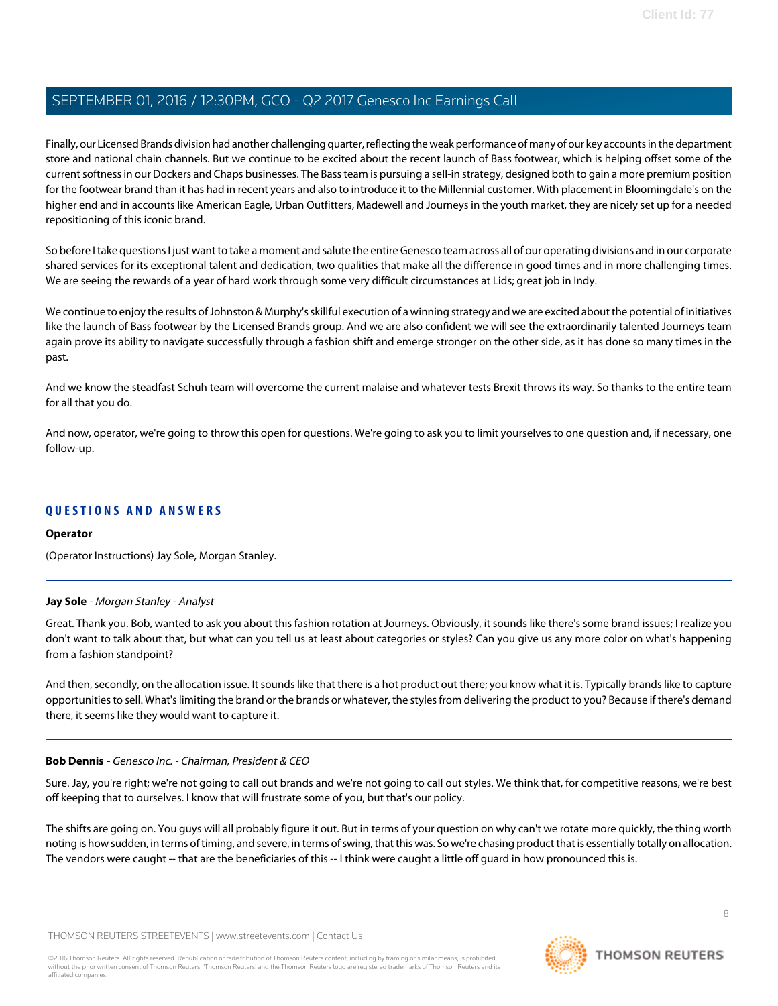Finally, our Licensed Brands division had another challenging quarter, reflecting the weak performance of many of our key accounts in the department store and national chain channels. But we continue to be excited about the recent launch of Bass footwear, which is helping offset some of the current softness in our Dockers and Chaps businesses. The Bass team is pursuing a sell-in strategy, designed both to gain a more premium position for the footwear brand than it has had in recent years and also to introduce it to the Millennial customer. With placement in Bloomingdale's on the higher end and in accounts like American Eagle, Urban Outfitters, Madewell and Journeys in the youth market, they are nicely set up for a needed repositioning of this iconic brand.

So before I take questions I just want to take a moment and salute the entire Genesco team across all of our operating divisions and in our corporate shared services for its exceptional talent and dedication, two qualities that make all the difference in good times and in more challenging times. We are seeing the rewards of a year of hard work through some very difficult circumstances at Lids; great job in Indy.

We continue to enjoy the results of Johnston & Murphy's skillful execution of a winning strategy and we are excited about the potential of initiatives like the launch of Bass footwear by the Licensed Brands group. And we are also confident we will see the extraordinarily talented Journeys team again prove its ability to navigate successfully through a fashion shift and emerge stronger on the other side, as it has done so many times in the past.

And we know the steadfast Schuh team will overcome the current malaise and whatever tests Brexit throws its way. So thanks to the entire team for all that you do.

And now, operator, we're going to throw this open for questions. We're going to ask you to limit yourselves to one question and, if necessary, one follow-up.

## **QUESTIONS AND ANSWERS**

#### <span id="page-7-0"></span>**Operator**

(Operator Instructions) Jay Sole, Morgan Stanley.

#### **Jay Sole** - Morgan Stanley - Analyst

Great. Thank you. Bob, wanted to ask you about this fashion rotation at Journeys. Obviously, it sounds like there's some brand issues; I realize you don't want to talk about that, but what can you tell us at least about categories or styles? Can you give us any more color on what's happening from a fashion standpoint?

And then, secondly, on the allocation issue. It sounds like that there is a hot product out there; you know what it is. Typically brands like to capture opportunities to sell. What's limiting the brand or the brands or whatever, the styles from delivering the product to you? Because if there's demand there, it seems like they would want to capture it.

#### **Bob Dennis** - Genesco Inc. - Chairman, President & CEO

Sure. Jay, you're right; we're not going to call out brands and we're not going to call out styles. We think that, for competitive reasons, we're best off keeping that to ourselves. I know that will frustrate some of you, but that's our policy.

The shifts are going on. You guys will all probably figure it out. But in terms of your question on why can't we rotate more quickly, the thing worth noting is how sudden, in terms of timing, and severe, in terms of swing, that this was. So we're chasing product that is essentially totally on allocation. The vendors were caught -- that are the beneficiaries of this -- I think were caught a little off guard in how pronounced this is.

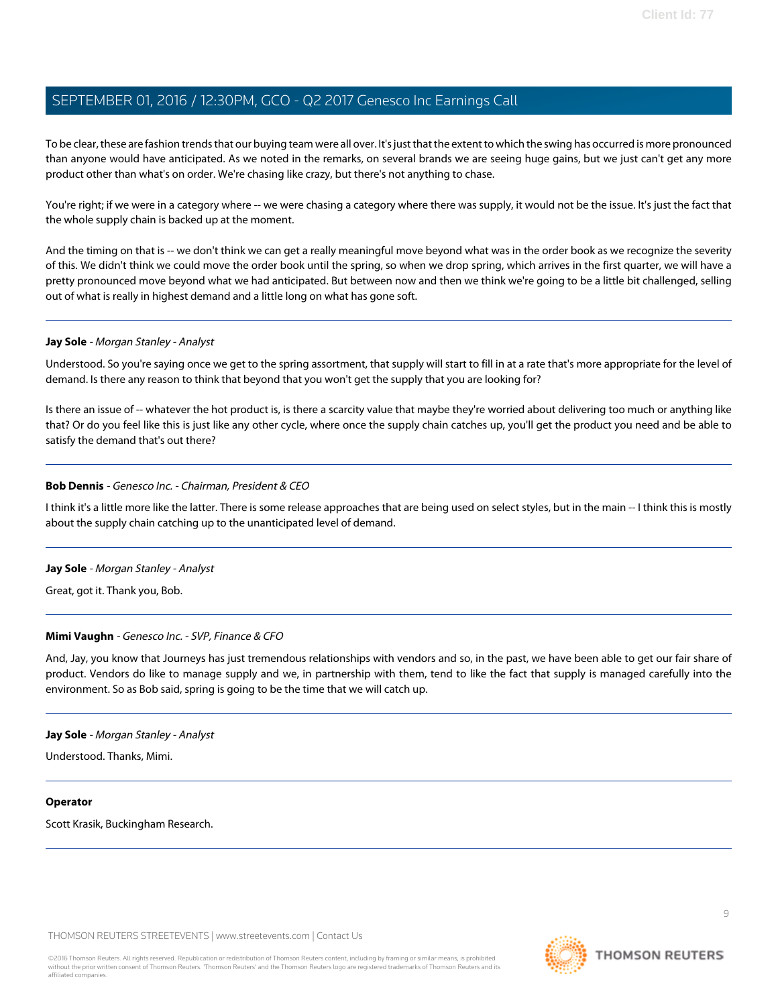To be clear, these are fashion trends that our buying team were all over. It's just that the extent to which the swing has occurred is more pronounced than anyone would have anticipated. As we noted in the remarks, on several brands we are seeing huge gains, but we just can't get any more product other than what's on order. We're chasing like crazy, but there's not anything to chase.

You're right; if we were in a category where -- we were chasing a category where there was supply, it would not be the issue. It's just the fact that the whole supply chain is backed up at the moment.

And the timing on that is -- we don't think we can get a really meaningful move beyond what was in the order book as we recognize the severity of this. We didn't think we could move the order book until the spring, so when we drop spring, which arrives in the first quarter, we will have a pretty pronounced move beyond what we had anticipated. But between now and then we think we're going to be a little bit challenged, selling out of what is really in highest demand and a little long on what has gone soft.

#### **Jay Sole** - Morgan Stanley - Analyst

Understood. So you're saying once we get to the spring assortment, that supply will start to fill in at a rate that's more appropriate for the level of demand. Is there any reason to think that beyond that you won't get the supply that you are looking for?

Is there an issue of -- whatever the hot product is, is there a scarcity value that maybe they're worried about delivering too much or anything like that? Or do you feel like this is just like any other cycle, where once the supply chain catches up, you'll get the product you need and be able to satisfy the demand that's out there?

#### **Bob Dennis** - Genesco Inc. - Chairman, President & CEO

I think it's a little more like the latter. There is some release approaches that are being used on select styles, but in the main -- I think this is mostly about the supply chain catching up to the unanticipated level of demand.

#### **Jay Sole** - Morgan Stanley - Analyst

Great, got it. Thank you, Bob.

#### **Mimi Vaughn** - Genesco Inc. - SVP, Finance & CFO

And, Jay, you know that Journeys has just tremendous relationships with vendors and so, in the past, we have been able to get our fair share of product. Vendors do like to manage supply and we, in partnership with them, tend to like the fact that supply is managed carefully into the environment. So as Bob said, spring is going to be the time that we will catch up.

#### **Jay Sole** - Morgan Stanley - Analyst

Understood. Thanks, Mimi.

#### **Operator**

Scott Krasik, Buckingham Research.

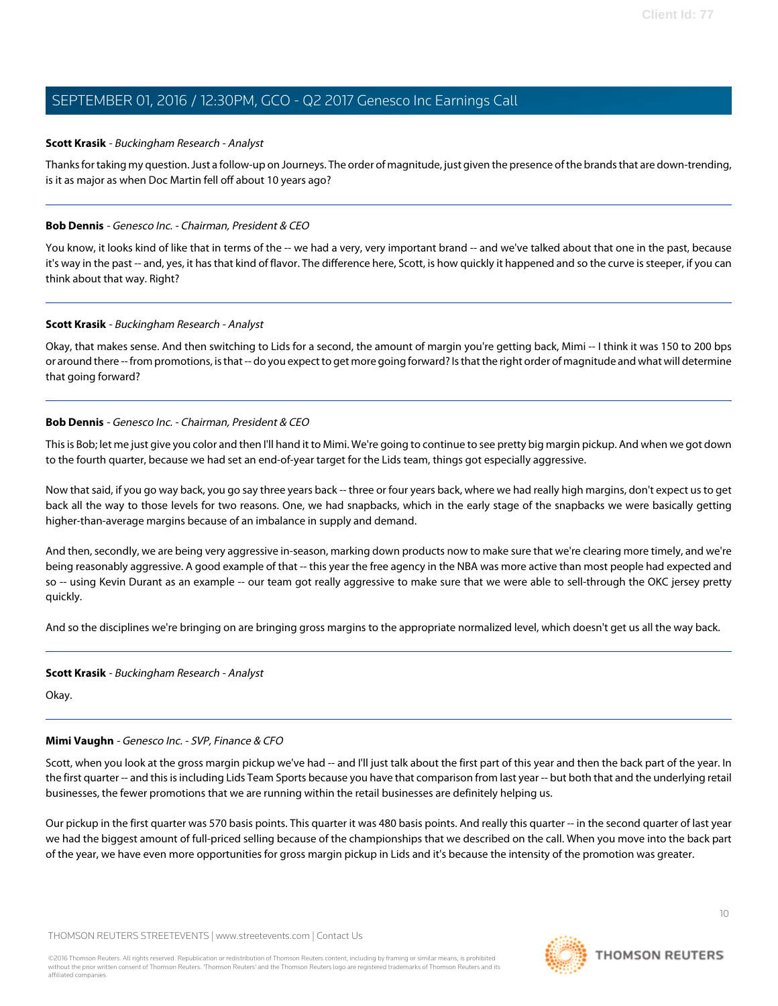#### <span id="page-9-0"></span>**Scott Krasik** - Buckingham Research - Analyst

Thanks for taking my question. Just a follow-up on Journeys. The order of magnitude, just given the presence of the brands that are down-trending, is it as major as when Doc Martin fell off about 10 years ago?

#### **Bob Dennis** - Genesco Inc. - Chairman, President & CEO

You know, it looks kind of like that in terms of the -- we had a very, very important brand -- and we've talked about that one in the past, because it's way in the past -- and, yes, it has that kind of flavor. The difference here, Scott, is how quickly it happened and so the curve is steeper, if you can think about that way. Right?

#### **Scott Krasik** - Buckingham Research - Analyst

Okay, that makes sense. And then switching to Lids for a second, the amount of margin you're getting back, Mimi -- I think it was 150 to 200 bps or around there -- from promotions, is that -- do you expect to get more going forward? Is that the right order of magnitude and what will determine that going forward?

#### **Bob Dennis** - Genesco Inc. - Chairman, President & CEO

This is Bob; let me just give you color and then I'll hand it to Mimi. We're going to continue to see pretty big margin pickup. And when we got down to the fourth quarter, because we had set an end-of-year target for the Lids team, things got especially aggressive.

Now that said, if you go way back, you go say three years back -- three or four years back, where we had really high margins, don't expect us to get back all the way to those levels for two reasons. One, we had snapbacks, which in the early stage of the snapbacks we were basically getting higher-than-average margins because of an imbalance in supply and demand.

And then, secondly, we are being very aggressive in-season, marking down products now to make sure that we're clearing more timely, and we're being reasonably aggressive. A good example of that -- this year the free agency in the NBA was more active than most people had expected and so -- using Kevin Durant as an example -- our team got really aggressive to make sure that we were able to sell-through the OKC jersey pretty quickly.

And so the disciplines we're bringing on are bringing gross margins to the appropriate normalized level, which doesn't get us all the way back.

#### **Scott Krasik** - Buckingham Research - Analyst

Okay.

#### **Mimi Vaughn** - Genesco Inc. - SVP, Finance & CFO

Scott, when you look at the gross margin pickup we've had -- and I'll just talk about the first part of this year and then the back part of the year. In the first quarter -- and this is including Lids Team Sports because you have that comparison from last year -- but both that and the underlying retail businesses, the fewer promotions that we are running within the retail businesses are definitely helping us.

Our pickup in the first quarter was 570 basis points. This quarter it was 480 basis points. And really this quarter -- in the second quarter of last year we had the biggest amount of full-priced selling because of the championships that we described on the call. When you move into the back part of the year, we have even more opportunities for gross margin pickup in Lids and it's because the intensity of the promotion was greater.

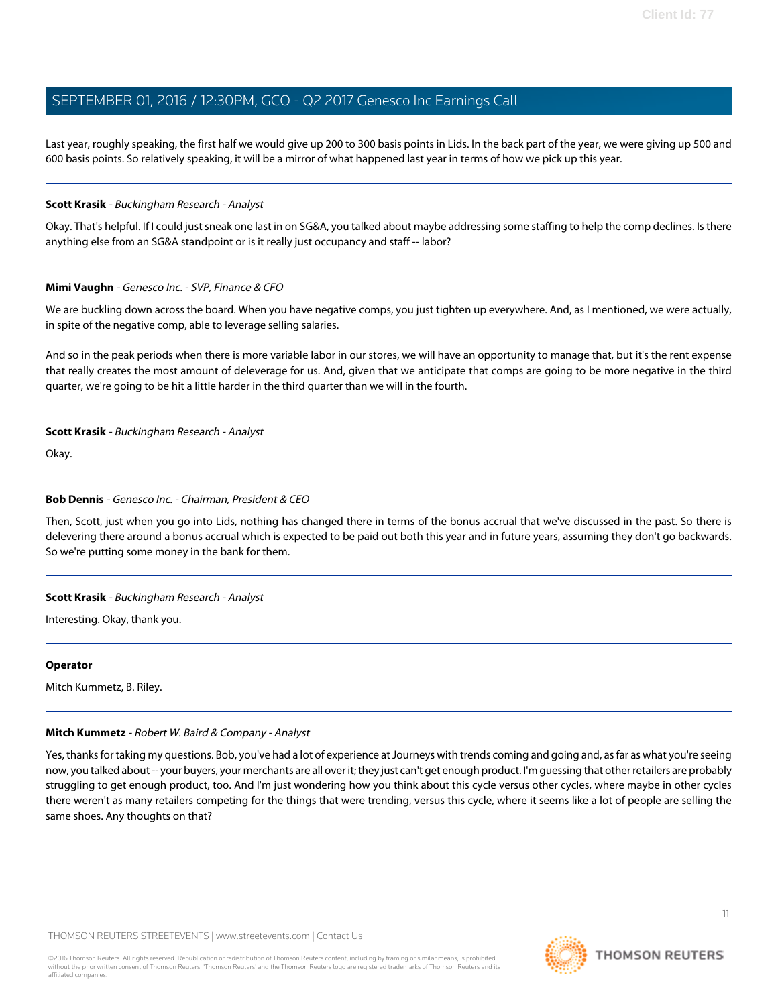Last year, roughly speaking, the first half we would give up 200 to 300 basis points in Lids. In the back part of the year, we were giving up 500 and 600 basis points. So relatively speaking, it will be a mirror of what happened last year in terms of how we pick up this year.

#### **Scott Krasik** - Buckingham Research - Analyst

Okay. That's helpful. If I could just sneak one last in on SG&A, you talked about maybe addressing some staffing to help the comp declines. Is there anything else from an SG&A standpoint or is it really just occupancy and staff -- labor?

#### **Mimi Vaughn** - Genesco Inc. - SVP, Finance & CFO

We are buckling down across the board. When you have negative comps, you just tighten up everywhere. And, as I mentioned, we were actually, in spite of the negative comp, able to leverage selling salaries.

And so in the peak periods when there is more variable labor in our stores, we will have an opportunity to manage that, but it's the rent expense that really creates the most amount of deleverage for us. And, given that we anticipate that comps are going to be more negative in the third quarter, we're going to be hit a little harder in the third quarter than we will in the fourth.

#### **Scott Krasik** - Buckingham Research - Analyst

Okay.

#### **Bob Dennis** - Genesco Inc. - Chairman, President & CEO

Then, Scott, just when you go into Lids, nothing has changed there in terms of the bonus accrual that we've discussed in the past. So there is delevering there around a bonus accrual which is expected to be paid out both this year and in future years, assuming they don't go backwards. So we're putting some money in the bank for them.

#### **Scott Krasik** - Buckingham Research - Analyst

Interesting. Okay, thank you.

#### <span id="page-10-0"></span>**Operator**

Mitch Kummetz, B. Riley.

#### **Mitch Kummetz** - Robert W. Baird & Company - Analyst

Yes, thanks for taking my questions. Bob, you've had a lot of experience at Journeys with trends coming and going and, as far as what you're seeing now, you talked about -- your buyers, your merchants are all over it; they just can't get enough product. I'm guessing that other retailers are probably struggling to get enough product, too. And I'm just wondering how you think about this cycle versus other cycles, where maybe in other cycles there weren't as many retailers competing for the things that were trending, versus this cycle, where it seems like a lot of people are selling the same shoes. Any thoughts on that?

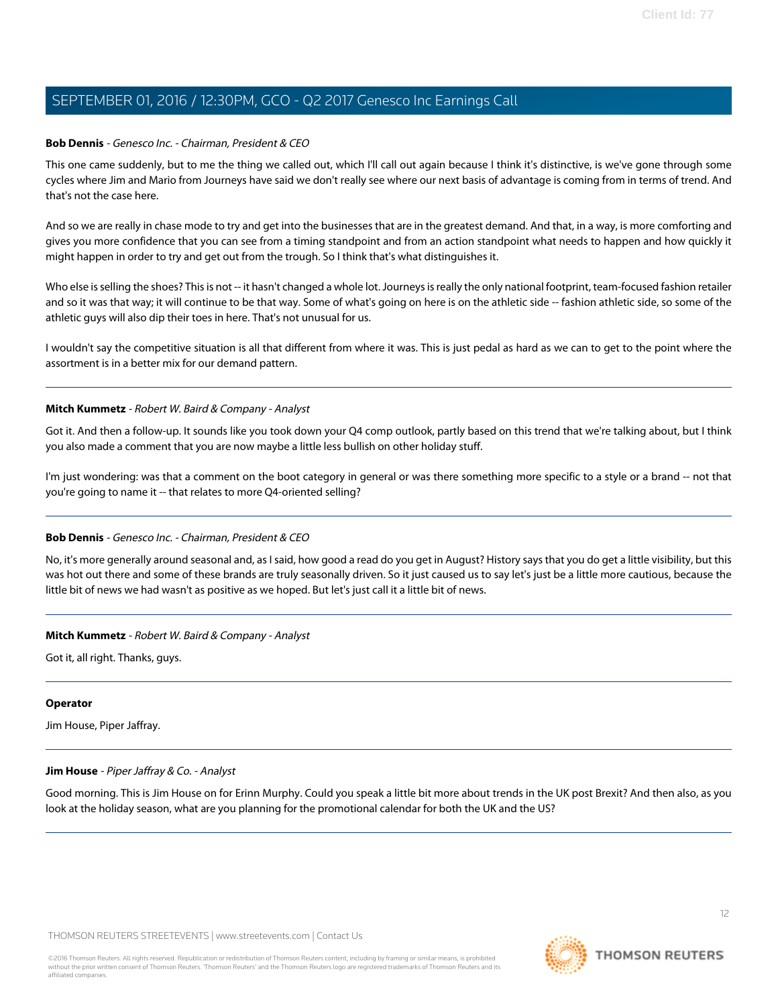#### **Bob Dennis** - Genesco Inc. - Chairman, President & CEO

This one came suddenly, but to me the thing we called out, which I'll call out again because I think it's distinctive, is we've gone through some cycles where Jim and Mario from Journeys have said we don't really see where our next basis of advantage is coming from in terms of trend. And that's not the case here.

And so we are really in chase mode to try and get into the businesses that are in the greatest demand. And that, in a way, is more comforting and gives you more confidence that you can see from a timing standpoint and from an action standpoint what needs to happen and how quickly it might happen in order to try and get out from the trough. So I think that's what distinguishes it.

Who else is selling the shoes? This is not -- it hasn't changed a whole lot. Journeys is really the only national footprint, team-focused fashion retailer and so it was that way; it will continue to be that way. Some of what's going on here is on the athletic side -- fashion athletic side, so some of the athletic guys will also dip their toes in here. That's not unusual for us.

I wouldn't say the competitive situation is all that different from where it was. This is just pedal as hard as we can to get to the point where the assortment is in a better mix for our demand pattern.

#### **Mitch Kummetz** - Robert W. Baird & Company - Analyst

Got it. And then a follow-up. It sounds like you took down your Q4 comp outlook, partly based on this trend that we're talking about, but I think you also made a comment that you are now maybe a little less bullish on other holiday stuff.

I'm just wondering: was that a comment on the boot category in general or was there something more specific to a style or a brand -- not that you're going to name it -- that relates to more Q4-oriented selling?

#### **Bob Dennis** - Genesco Inc. - Chairman, President & CEO

No, it's more generally around seasonal and, as I said, how good a read do you get in August? History says that you do get a little visibility, but this was hot out there and some of these brands are truly seasonally driven. So it just caused us to say let's just be a little more cautious, because the little bit of news we had wasn't as positive as we hoped. But let's just call it a little bit of news.

#### **Mitch Kummetz** - Robert W. Baird & Company - Analyst

Got it, all right. Thanks, guys.

#### <span id="page-11-0"></span>**Operator**

Jim House, Piper Jaffray.

#### **Jim House** - Piper Jaffray & Co. - Analyst

Good morning. This is Jim House on for Erinn Murphy. Could you speak a little bit more about trends in the UK post Brexit? And then also, as you look at the holiday season, what are you planning for the promotional calendar for both the UK and the US?

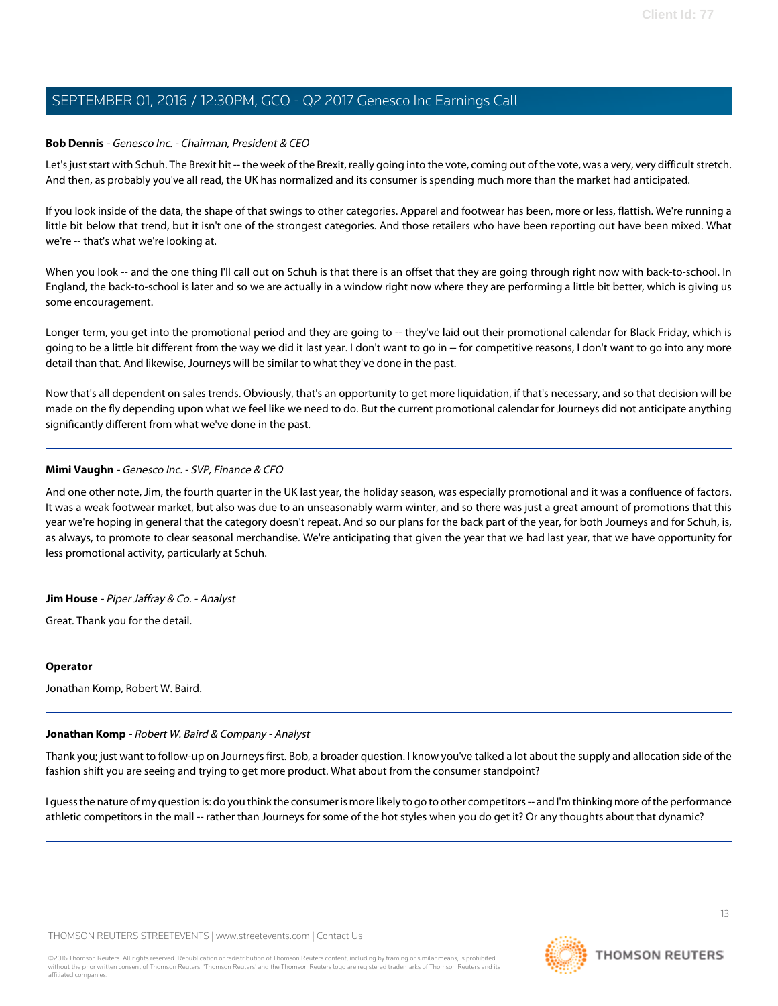#### **Bob Dennis** - Genesco Inc. - Chairman, President & CEO

Let's just start with Schuh. The Brexit hit -- the week of the Brexit, really going into the vote, coming out of the vote, was a very, very difficult stretch. And then, as probably you've all read, the UK has normalized and its consumer is spending much more than the market had anticipated.

If you look inside of the data, the shape of that swings to other categories. Apparel and footwear has been, more or less, flattish. We're running a little bit below that trend, but it isn't one of the strongest categories. And those retailers who have been reporting out have been mixed. What we're -- that's what we're looking at.

When you look -- and the one thing I'll call out on Schuh is that there is an offset that they are going through right now with back-to-school. In England, the back-to-school is later and so we are actually in a window right now where they are performing a little bit better, which is giving us some encouragement.

Longer term, you get into the promotional period and they are going to -- they've laid out their promotional calendar for Black Friday, which is going to be a little bit different from the way we did it last year. I don't want to go in -- for competitive reasons, I don't want to go into any more detail than that. And likewise, Journeys will be similar to what they've done in the past.

Now that's all dependent on sales trends. Obviously, that's an opportunity to get more liquidation, if that's necessary, and so that decision will be made on the fly depending upon what we feel like we need to do. But the current promotional calendar for Journeys did not anticipate anything significantly different from what we've done in the past.

#### **Mimi Vaughn** - Genesco Inc. - SVP, Finance & CFO

And one other note, Jim, the fourth quarter in the UK last year, the holiday season, was especially promotional and it was a confluence of factors. It was a weak footwear market, but also was due to an unseasonably warm winter, and so there was just a great amount of promotions that this year we're hoping in general that the category doesn't repeat. And so our plans for the back part of the year, for both Journeys and for Schuh, is, as always, to promote to clear seasonal merchandise. We're anticipating that given the year that we had last year, that we have opportunity for less promotional activity, particularly at Schuh.

#### **Jim House** - Piper Jaffray & Co. - Analyst

Great. Thank you for the detail.

#### <span id="page-12-0"></span>**Operator**

Jonathan Komp, Robert W. Baird.

#### **Jonathan Komp** - Robert W. Baird & Company - Analyst

Thank you; just want to follow-up on Journeys first. Bob, a broader question. I know you've talked a lot about the supply and allocation side of the fashion shift you are seeing and trying to get more product. What about from the consumer standpoint?

I guess the nature of my question is: do you think the consumer is more likely to go to other competitors -- and I'm thinking more of the performance athletic competitors in the mall -- rather than Journeys for some of the hot styles when you do get it? Or any thoughts about that dynamic?



13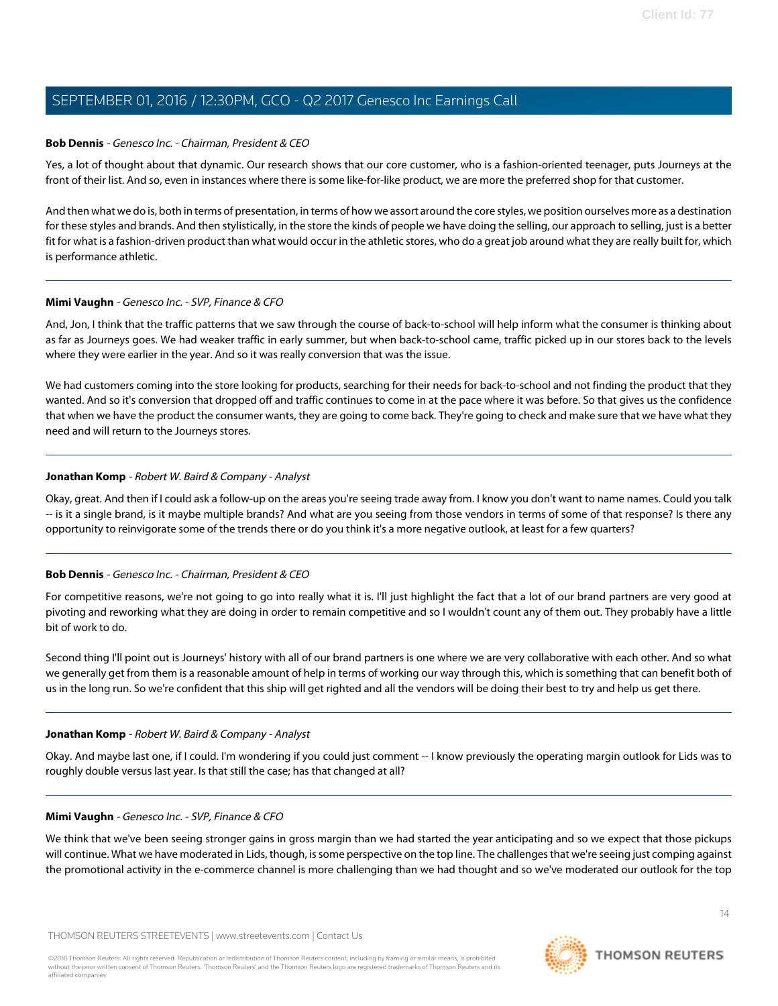#### **Bob Dennis** - Genesco Inc. - Chairman, President & CEO

Yes, a lot of thought about that dynamic. Our research shows that our core customer, who is a fashion-oriented teenager, puts Journeys at the front of their list. And so, even in instances where there is some like-for-like product, we are more the preferred shop for that customer.

And then what we do is, both in terms of presentation, in terms of how we assort around the core styles, we position ourselves more as a destination for these styles and brands. And then stylistically, in the store the kinds of people we have doing the selling, our approach to selling, just is a better fit for what is a fashion-driven product than what would occur in the athletic stores, who do a great job around what they are really built for, which is performance athletic.

#### **Mimi Vaughn** - Genesco Inc. - SVP, Finance & CFO

And, Jon, I think that the traffic patterns that we saw through the course of back-to-school will help inform what the consumer is thinking about as far as Journeys goes. We had weaker traffic in early summer, but when back-to-school came, traffic picked up in our stores back to the levels where they were earlier in the year. And so it was really conversion that was the issue.

We had customers coming into the store looking for products, searching for their needs for back-to-school and not finding the product that they wanted. And so it's conversion that dropped off and traffic continues to come in at the pace where it was before. So that gives us the confidence that when we have the product the consumer wants, they are going to come back. They're going to check and make sure that we have what they need and will return to the Journeys stores.

#### **Jonathan Komp** - Robert W. Baird & Company - Analyst

Okay, great. And then if I could ask a follow-up on the areas you're seeing trade away from. I know you don't want to name names. Could you talk -- is it a single brand, is it maybe multiple brands? And what are you seeing from those vendors in terms of some of that response? Is there any opportunity to reinvigorate some of the trends there or do you think it's a more negative outlook, at least for a few quarters?

#### **Bob Dennis** - Genesco Inc. - Chairman, President & CEO

For competitive reasons, we're not going to go into really what it is. I'll just highlight the fact that a lot of our brand partners are very good at pivoting and reworking what they are doing in order to remain competitive and so I wouldn't count any of them out. They probably have a little bit of work to do.

Second thing I'll point out is Journeys' history with all of our brand partners is one where we are very collaborative with each other. And so what we generally get from them is a reasonable amount of help in terms of working our way through this, which is something that can benefit both of us in the long run. So we're confident that this ship will get righted and all the vendors will be doing their best to try and help us get there.

#### **Jonathan Komp** - Robert W. Baird & Company - Analyst

Okay. And maybe last one, if I could. I'm wondering if you could just comment -- I know previously the operating margin outlook for Lids was to roughly double versus last year. Is that still the case; has that changed at all?

#### **Mimi Vaughn** - Genesco Inc. - SVP, Finance & CFO

We think that we've been seeing stronger gains in gross margin than we had started the year anticipating and so we expect that those pickups will continue. What we have moderated in Lids, though, is some perspective on the top line. The challenges that we're seeing just comping against the promotional activity in the e-commerce channel is more challenging than we had thought and so we've moderated our outlook for the top

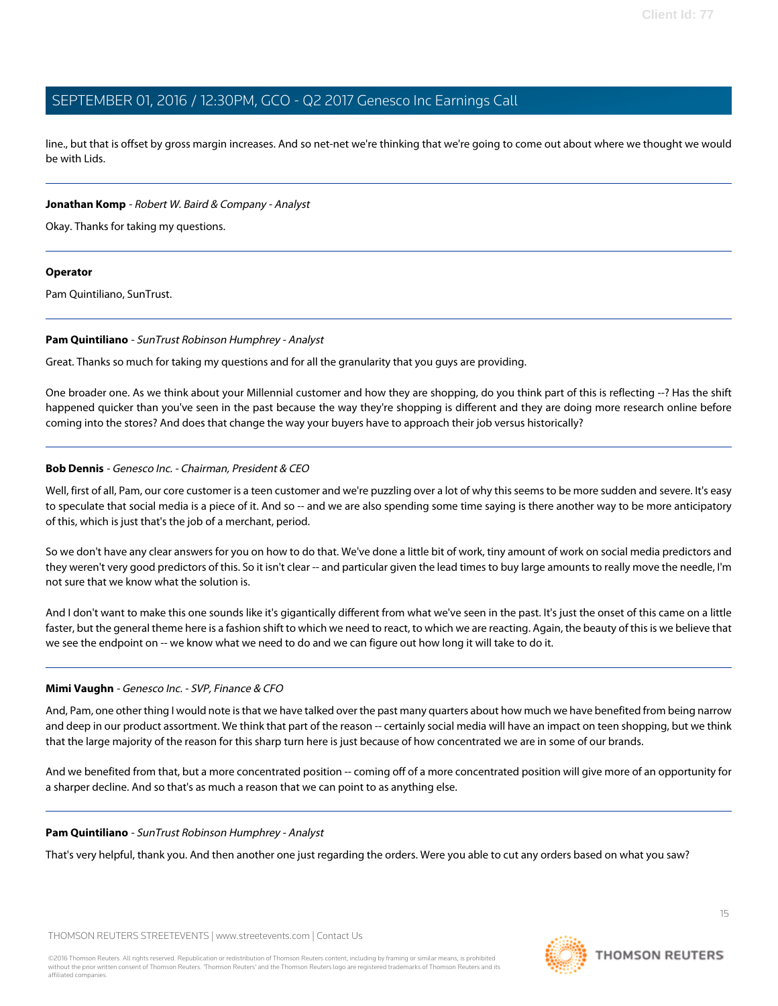line., but that is offset by gross margin increases. And so net-net we're thinking that we're going to come out about where we thought we would be with Lids.

#### **Jonathan Komp** - Robert W. Baird & Company - Analyst

Okay. Thanks for taking my questions.

#### **Operator**

<span id="page-14-0"></span>Pam Quintiliano, SunTrust.

#### **Pam Quintiliano** - SunTrust Robinson Humphrey - Analyst

Great. Thanks so much for taking my questions and for all the granularity that you guys are providing.

One broader one. As we think about your Millennial customer and how they are shopping, do you think part of this is reflecting --? Has the shift happened quicker than you've seen in the past because the way they're shopping is different and they are doing more research online before coming into the stores? And does that change the way your buyers have to approach their job versus historically?

#### **Bob Dennis** - Genesco Inc. - Chairman, President & CEO

Well, first of all, Pam, our core customer is a teen customer and we're puzzling over a lot of why this seems to be more sudden and severe. It's easy to speculate that social media is a piece of it. And so -- and we are also spending some time saying is there another way to be more anticipatory of this, which is just that's the job of a merchant, period.

So we don't have any clear answers for you on how to do that. We've done a little bit of work, tiny amount of work on social media predictors and they weren't very good predictors of this. So it isn't clear -- and particular given the lead times to buy large amounts to really move the needle, I'm not sure that we know what the solution is.

And I don't want to make this one sounds like it's gigantically different from what we've seen in the past. It's just the onset of this came on a little faster, but the general theme here is a fashion shift to which we need to react, to which we are reacting. Again, the beauty of this is we believe that we see the endpoint on -- we know what we need to do and we can figure out how long it will take to do it.

#### **Mimi Vaughn** - Genesco Inc. - SVP, Finance & CFO

And, Pam, one other thing I would note is that we have talked over the past many quarters about how much we have benefited from being narrow and deep in our product assortment. We think that part of the reason -- certainly social media will have an impact on teen shopping, but we think that the large majority of the reason for this sharp turn here is just because of how concentrated we are in some of our brands.

And we benefited from that, but a more concentrated position -- coming off of a more concentrated position will give more of an opportunity for a sharper decline. And so that's as much a reason that we can point to as anything else.

#### **Pam Quintiliano** - SunTrust Robinson Humphrey - Analyst

That's very helpful, thank you. And then another one just regarding the orders. Were you able to cut any orders based on what you saw?

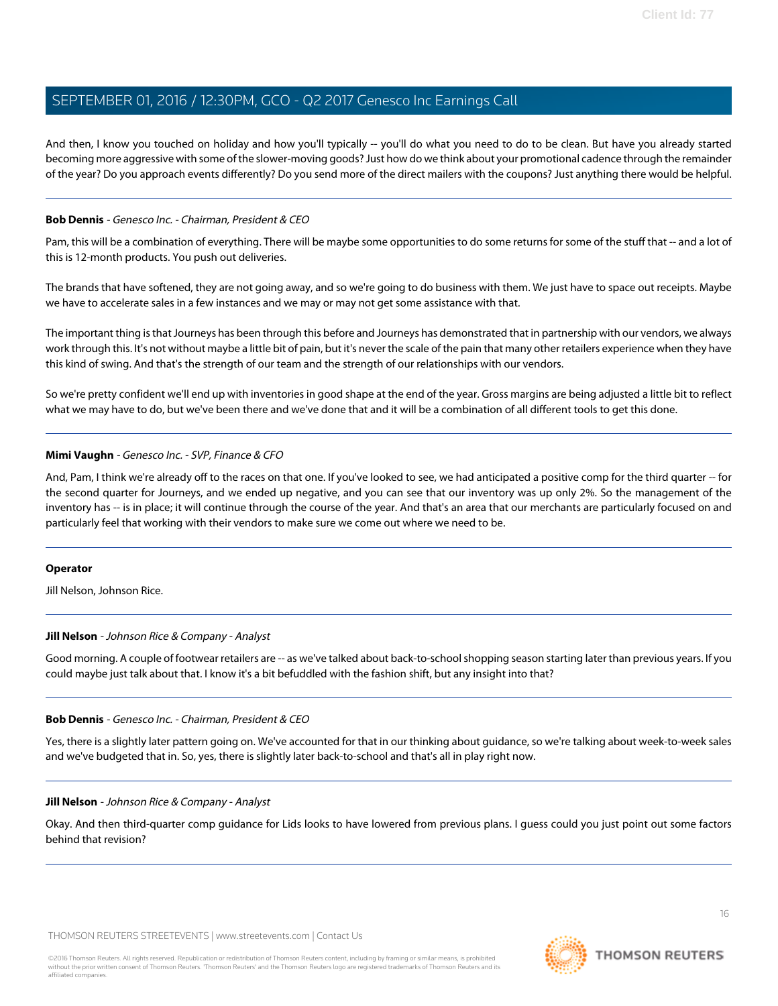And then, I know you touched on holiday and how you'll typically -- you'll do what you need to do to be clean. But have you already started becoming more aggressive with some of the slower-moving goods? Just how do we think about your promotional cadence through the remainder of the year? Do you approach events differently? Do you send more of the direct mailers with the coupons? Just anything there would be helpful.

#### **Bob Dennis** - Genesco Inc. - Chairman, President & CEO

Pam, this will be a combination of everything. There will be maybe some opportunities to do some returns for some of the stuff that -- and a lot of this is 12-month products. You push out deliveries.

The brands that have softened, they are not going away, and so we're going to do business with them. We just have to space out receipts. Maybe we have to accelerate sales in a few instances and we may or may not get some assistance with that.

The important thing is that Journeys has been through this before and Journeys has demonstrated that in partnership with our vendors, we always work through this. It's not without maybe a little bit of pain, but it's never the scale of the pain that many other retailers experience when they have this kind of swing. And that's the strength of our team and the strength of our relationships with our vendors.

So we're pretty confident we'll end up with inventories in good shape at the end of the year. Gross margins are being adjusted a little bit to reflect what we may have to do, but we've been there and we've done that and it will be a combination of all different tools to get this done.

#### **Mimi Vaughn** - Genesco Inc. - SVP, Finance & CFO

And, Pam, I think we're already off to the races on that one. If you've looked to see, we had anticipated a positive comp for the third quarter -- for the second quarter for Journeys, and we ended up negative, and you can see that our inventory was up only 2%. So the management of the inventory has -- is in place; it will continue through the course of the year. And that's an area that our merchants are particularly focused on and particularly feel that working with their vendors to make sure we come out where we need to be.

#### <span id="page-15-0"></span>**Operator**

Jill Nelson, Johnson Rice.

#### **Jill Nelson** - Johnson Rice & Company - Analyst

Good morning. A couple of footwear retailers are -- as we've talked about back-to-school shopping season starting later than previous years. If you could maybe just talk about that. I know it's a bit befuddled with the fashion shift, but any insight into that?

#### **Bob Dennis** - Genesco Inc. - Chairman, President & CEO

Yes, there is a slightly later pattern going on. We've accounted for that in our thinking about guidance, so we're talking about week-to-week sales and we've budgeted that in. So, yes, there is slightly later back-to-school and that's all in play right now.

#### **Jill Nelson** - Johnson Rice & Company - Analyst

Okay. And then third-quarter comp guidance for Lids looks to have lowered from previous plans. I guess could you just point out some factors behind that revision?



16

**THOMSON REUTERS**